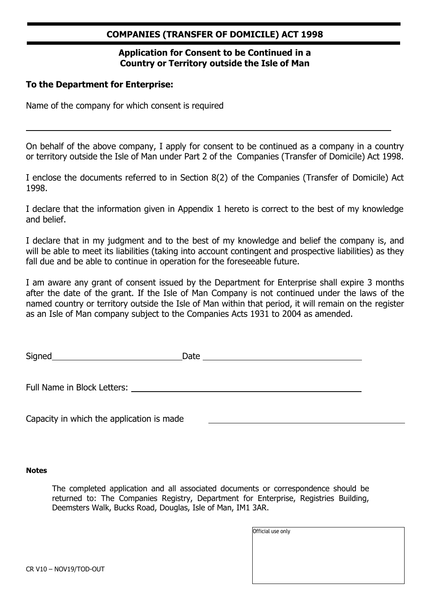#### **COMPANIES (TRANSFER OF DOMICILE) ACT 1998**

#### **Application for Consent to be Continued in a Country or Territory outside the Isle of Man**

#### **To the Department for Enterprise:**

Name of the company for which consent is required

On behalf of the above company, I apply for consent to be continued as a company in a country or territory outside the Isle of Man under Part 2 of the Companies (Transfer of Domicile) Act 1998.

I enclose the documents referred to in Section 8(2) of the Companies (Transfer of Domicile) Act 1998.

I declare that the information given in Appendix 1 hereto is correct to the best of my knowledge and belief.

I declare that in my judgment and to the best of my knowledge and belief the company is, and will be able to meet its liabilities (taking into account contingent and prospective liabilities) as they fall due and be able to continue in operation for the foreseeable future.

I am aware any grant of consent issued by the Department for Enterprise shall expire 3 months after the date of the grant. If the Isle of Man Company is not continued under the laws of the named country or territory outside the Isle of Man within that period, it will remain on the register as an Isle of Man company subject to the Companies Acts 1931 to 2004 as amended.

| Sianec<br>◡<br>ــ |  |
|-------------------|--|
|                   |  |

Full Name in Block Letters:

Capacity in which the application is made

#### **Notes**

The completed application and all associated documents or correspondence should be returned to: The Companies Registry, Department for Enterprise, Registries Building, Deemsters Walk, Bucks Road, Douglas, Isle of Man, IM1 3AR.

| Official use only |  |  |  |
|-------------------|--|--|--|
|                   |  |  |  |
|                   |  |  |  |
|                   |  |  |  |
|                   |  |  |  |
|                   |  |  |  |

CR V10 – NOV19/TOD-OUT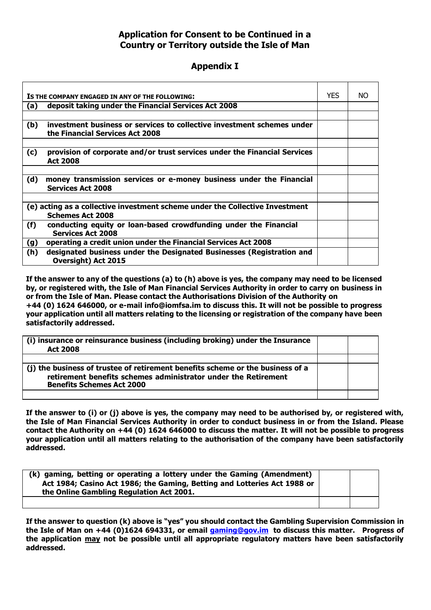#### **Application for Consent to be Continued in a Country or Territory outside the Isle of Man**

#### **Appendix I**

|                                                                                                         | IS THE COMPANY ENGAGED IN ANY OF THE FOLLOWING:                                                           | <b>YES</b> | NO. |
|---------------------------------------------------------------------------------------------------------|-----------------------------------------------------------------------------------------------------------|------------|-----|
| (a)                                                                                                     | deposit taking under the Financial Services Act 2008                                                      |            |     |
|                                                                                                         |                                                                                                           |            |     |
| (b)                                                                                                     | investment business or services to collective investment schemes under<br>the Financial Services Act 2008 |            |     |
|                                                                                                         |                                                                                                           |            |     |
| (c)                                                                                                     | provision of corporate and/or trust services under the Financial Services<br><b>Act 2008</b>              |            |     |
|                                                                                                         |                                                                                                           |            |     |
| (d)                                                                                                     | money transmission services or e-money business under the Financial<br><b>Services Act 2008</b>           |            |     |
|                                                                                                         |                                                                                                           |            |     |
| (e) acting as a collective investment scheme under the Collective Investment<br><b>Schemes Act 2008</b> |                                                                                                           |            |     |
| (f)                                                                                                     | conducting equity or loan-based crowdfunding under the Financial<br><b>Services Act 2008</b>              |            |     |
| (g)                                                                                                     | operating a credit union under the Financial Services Act 2008                                            |            |     |
| (h)                                                                                                     | designated business under the Designated Businesses (Registration and<br><b>Oversight) Act 2015</b>       |            |     |

**If the answer to any of the questions (a) to (h) above is yes, the company may need to be licensed by, or registered with, the Isle of Man Financial Services Authority in order to carry on business in or from the Isle of Man. Please contact the Authorisations Division of the Authority on +44 (0) 1624 646000, or e-mail [info@iomfsa.im t](mailto:info@iomfsa.im)o discuss this. It will not be possible to progress your application until all matters relating to the licensing or registration of the company have been satisfactorily addressed.**

| (i) insurance or reinsurance business (including broking) under the Insurance<br><b>Act 2008</b>                                                                                     |  |
|--------------------------------------------------------------------------------------------------------------------------------------------------------------------------------------|--|
| (j) the business of trustee of retirement benefits scheme or the business of a<br>retirement benefits schemes administrator under the Retirement<br><b>Benefits Schemes Act 2000</b> |  |
|                                                                                                                                                                                      |  |

**If the answer to (i) or (j) above is yes, the company may need to be authorised by, or registered with, the Isle of Man Financial Services Authority in order to conduct business in or from the Island. Please contact the Authority on +44 (0) 1624 646000 to discuss the matter. It will not be possible to progress your application until all matters relating to the authorisation of the company have been satisfactorily addressed.**

| (k) gaming, betting or operating a lottery under the Gaming (Amendment)<br>Act 1984; Casino Act 1986; the Gaming, Betting and Lotteries Act 1988 or<br>the Online Gambling Regulation Act 2001. |  |
|-------------------------------------------------------------------------------------------------------------------------------------------------------------------------------------------------|--|
|                                                                                                                                                                                                 |  |

**If the answer to question (k) above is "yes" you should contact the Gambling Supervision Commission in the Isle of Man on +44 (0)1624 694331, or email [gaming@gov.im](mailto:gaming@gov.im) to discuss this matter. Progress of the application may not be possible until all appropriate regulatory matters have been satisfactorily addressed.**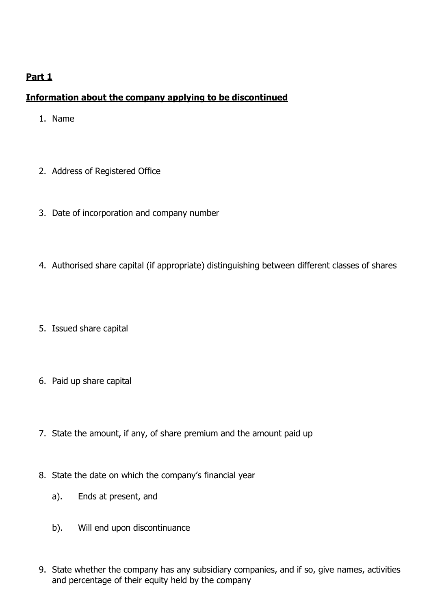## **Part 1**

## **Information about the company applying to be discontinued**

- 1. Name
- 2. Address of Registered Office
- 3. Date of incorporation and company number
- 4. Authorised share capital (if appropriate) distinguishing between different classes of shares
- 5. Issued share capital
- 6. Paid up share capital
- 7. State the amount, if any, of share premium and the amount paid up
- 8. State the date on which the company's financial year
	- a). Ends at present, and
	- b). Will end upon discontinuance
- 9. State whether the company has any subsidiary companies, and if so, give names, activities and percentage of their equity held by the company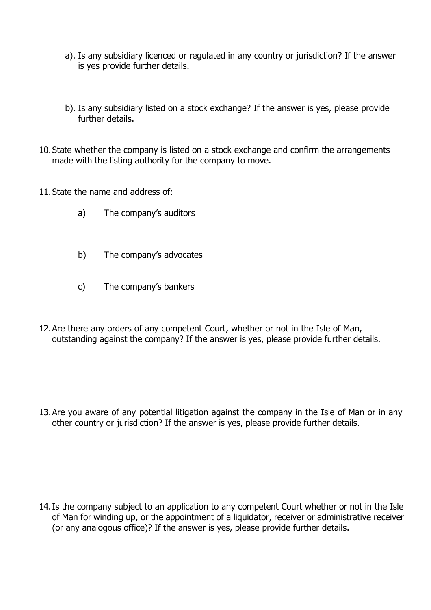- a). Is any subsidiary licenced or regulated in any country or jurisdiction? If the answer is yes provide further details.
- b). Is any subsidiary listed on a stock exchange? If the answer is yes, please provide further details.
- 10.State whether the company is listed on a stock exchange and confirm the arrangements made with the listing authority for the company to move.
- 11.State the name and address of:
	- a) The company's auditors
	- b) The company's advocates
	- c) The company's bankers
- 12.Are there any orders of any competent Court, whether or not in the Isle of Man, outstanding against the company? If the answer is yes, please provide further details.

13.Are you aware of any potential litigation against the company in the Isle of Man or in any other country or jurisdiction? If the answer is yes, please provide further details.

14.Is the company subject to an application to any competent Court whether or not in the Isle of Man for winding up, or the appointment of a liquidator, receiver or administrative receiver (or any analogous office)? If the answer is yes, please provide further details.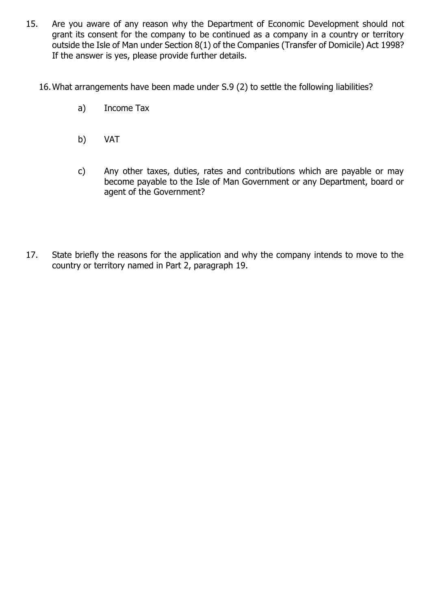- 15. Are you aware of any reason why the Department of Economic Development should not grant its consent for the company to be continued as a company in a country or territory outside the Isle of Man under Section 8(1) of the Companies (Transfer of Domicile) Act 1998? If the answer is yes, please provide further details.
	- 16.What arrangements have been made under S.9 (2) to settle the following liabilities?
		- a) Income Tax
		- b) VAT
		- c) Any other taxes, duties, rates and contributions which are payable or may become payable to the Isle of Man Government or any Department, board or agent of the Government?
- 17. State briefly the reasons for the application and why the company intends to move to the country or territory named in Part 2, paragraph 19.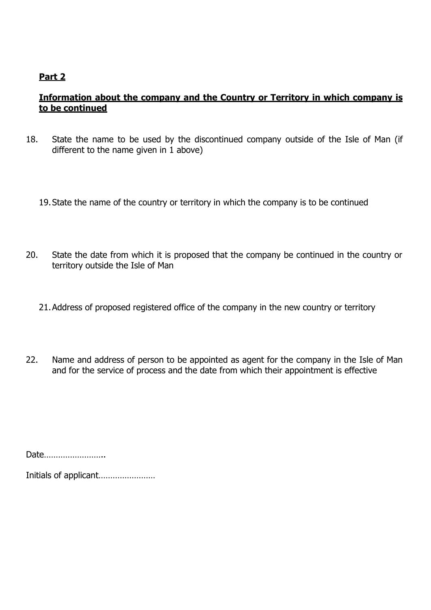## **Part 2**

## **Information about the company and the Country or Territory in which company is to be continued**

18. State the name to be used by the discontinued company outside of the Isle of Man (if different to the name given in 1 above)

19.State the name of the country or territory in which the company is to be continued

- 20. State the date from which it is proposed that the company be continued in the country or territory outside the Isle of Man
	- 21.Address of proposed registered office of the company in the new country or territory
- 22. Name and address of person to be appointed as agent for the company in the Isle of Man and for the service of process and the date from which their appointment is effective

Date……………………..

Initials of applicant……………………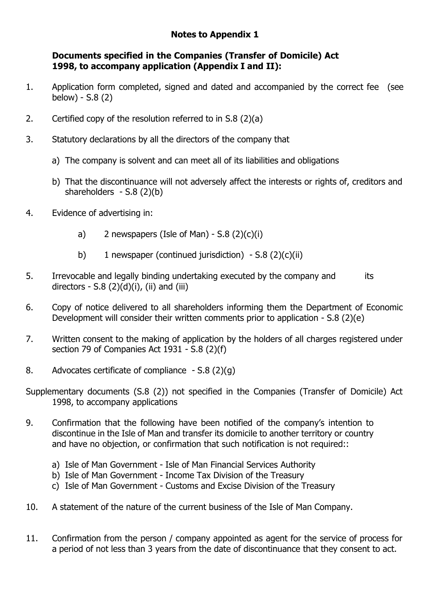## **Notes to Appendix 1**

#### **Documents specified in the Companies (Transfer of Domicile) Act 1998, to accompany application (Appendix I and II):**

- 1. Application form completed, signed and dated and accompanied by the correct fee (see below) - S.8 (2)
- 2. Certified copy of the resolution referred to in S.8 (2)(a)
- 3. Statutory declarations by all the directors of the company that
	- a) The company is solvent and can meet all of its liabilities and obligations
	- b) That the discontinuance will not adversely affect the interests or rights of, creditors and shareholders - S.8 (2)(b)
- 4. Evidence of advertising in:
	- a) 2 newspapers (Isle of Man)  $S.8$  (2)(c)(i)
	- b) 1 newspaper (continued jurisdiction)  $-$  S.8 (2)(c)(ii)
- 5. Irrevocable and legally binding undertaking executed by the company and its directors - S.8  $(2)(d)(i)$ , (ii) and (iii)
- 6. Copy of notice delivered to all shareholders informing them the Department of Economic Development will consider their written comments prior to application - S.8 (2)(e)
- 7. Written consent to the making of application by the holders of all charges registered under section 79 of Companies Act 1931 - S.8 (2)(f)
- 8. Advocates certificate of compliance S.8 (2)(g)
- Supplementary documents (S.8 (2)) not specified in the Companies (Transfer of Domicile) Act 1998, to accompany applications
- 9. Confirmation that the following have been notified of the company's intention to discontinue in the Isle of Man and transfer its domicile to another territory or country and have no objection, or confirmation that such notification is not required::
	- a) Isle of Man Government Isle of Man Financial Services Authority
	- b) Isle of Man Government Income Tax Division of the Treasury
	- c) Isle of Man Government Customs and Excise Division of the Treasury
- 10. A statement of the nature of the current business of the Isle of Man Company.
- 11. Confirmation from the person / company appointed as agent for the service of process for a period of not less than 3 years from the date of discontinuance that they consent to act.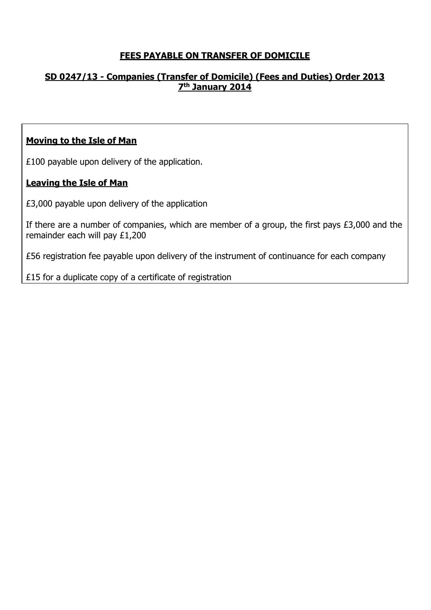## **FEES PAYABLE ON TRANSFER OF DOMICILE**

## **SD 0247/13 - Companies (Transfer of Domicile) (Fees and Duties) Order 2013 7 th January 2014**

#### **Moving to the Isle of Man**

£100 payable upon delivery of the application.

## **Leaving the Isle of Man**

£3,000 payable upon delivery of the application

If there are a number of companies, which are member of a group, the first pays £3,000 and the remainder each will pay £1,200

£56 registration fee payable upon delivery of the instrument of continuance for each company

£15 for a duplicate copy of a certificate of registration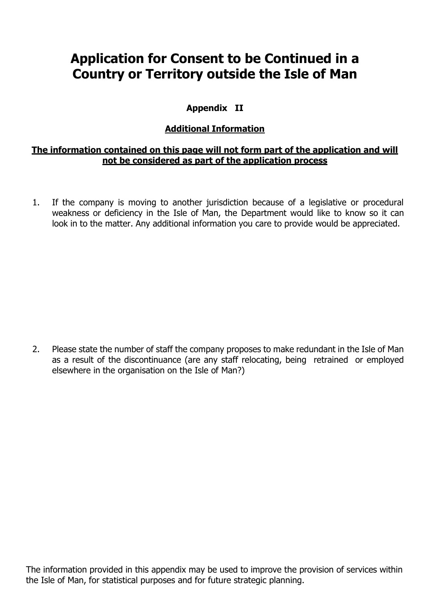# **Application for Consent to be Continued in a Country or Territory outside the Isle of Man**

## **Appendix II**

## **Additional Information**

#### **The information contained on this page will not form part of the application and will not be considered as part of the application process**

1. If the company is moving to another jurisdiction because of a legislative or procedural weakness or deficiency in the Isle of Man, the Department would like to know so it can look in to the matter. Any additional information you care to provide would be appreciated.

2. Please state the number of staff the company proposes to make redundant in the Isle of Man as a result of the discontinuance (are any staff relocating, being retrained or employed elsewhere in the organisation on the Isle of Man?)

The information provided in this appendix may be used to improve the provision of services within the Isle of Man, for statistical purposes and for future strategic planning.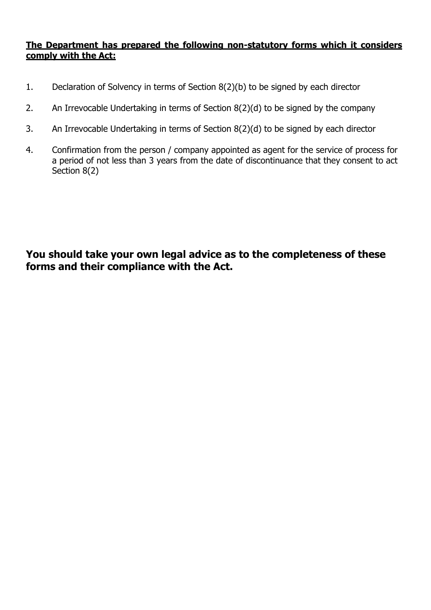#### **The Department has prepared the following non-statutory forms which it considers comply with the Act:**

- 1. Declaration of Solvency in terms of Section 8(2)(b) to be signed by each director
- 2. An Irrevocable Undertaking in terms of Section 8(2)(d) to be signed by the company
- 3. An Irrevocable Undertaking in terms of Section 8(2)(d) to be signed by each director
- 4. Confirmation from the person / company appointed as agent for the service of process for a period of not less than 3 years from the date of discontinuance that they consent to act Section 8(2)

**You should take your own legal advice as to the completeness of these forms and their compliance with the Act.**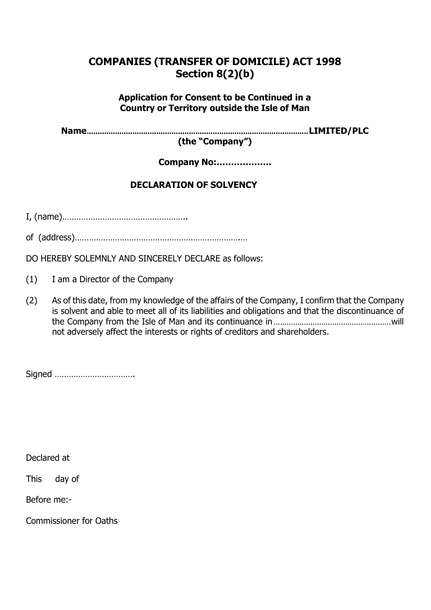# **COMPANIES (TRANSFER OF DOMICILE) ACT 1998 Section 8(2)(b)**

## **Application for Consent to be Continued in a Country or Territory outside the Isle of Man**

**Name......................................................................................................LIMITED/PLC**

**(the "Company")**

**Company No:……………….**

## **DECLARATION OF SOLVENCY**

I, (name)……………………………………………..

of (address)…………………………………………………………….…

DO HEREBY SOLEMNLY AND SINCERELY DECLARE as follows:

(1) I am a Director of the Company

(2) As of this date, from my knowledge of the affairs of the Company, I confirm that the Company is solvent and able to meet all of its liabilities and obligations and that the discontinuance of the Company from the Isle of Man and its continuance in......................................................will not adversely affect the interests or rights of creditors and shareholders.

Signed …………………………….

Declared at

This day of

Before me:-

Commissioner for Oaths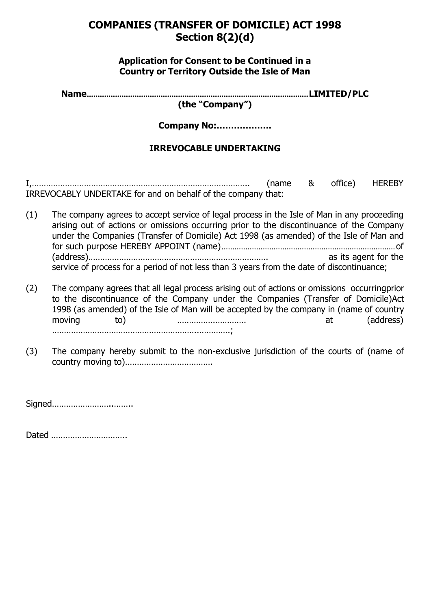## **COMPANIES (TRANSFER OF DOMICILE) ACT 1998 Section 8(2)(d)**

#### **Application for Consent to be Continued in a Country or Territory Outside the Isle of Man**

**Name......................................................................................................LIMITED/PLC**

**(the "Company")**

**Company No:……………….**

## **IRREVOCABLE UNDERTAKING**

I,……………………………………………………………………………….. (name & office) HEREBY IRREVOCABLY UNDERTAKE for and on behalf of the company that:

- (1) The company agrees to accept service of legal process in the Isle of Man in any proceeding arising out of actions or omissions occurring prior to the discontinuance of the Company under the Companies (Transfer of Domicile) Act 1998 (as amended) of the Isle of Man and for such purpose HEREBY APPOINT (name)................................................................................of (address)…………………………………………………………………. as its agent for the service of process for a period of not less than 3 years from the date of discontinuance;
- (2) The company agrees that all legal process arising out of actions or omissions occurringprior to the discontinuance of the Company under the Companies (Transfer of Domicile)Act 1998 (as amended) of the Isle of Man will be accepted by the company in (name of country moving to) …………….…………. at (address) ……………………………………………………..………….;
- (3) The company hereby submit to the non-exclusive jurisdiction of the courts of (name of country moving to)……………………………….

Signed……………………..……..

Dated …………………………..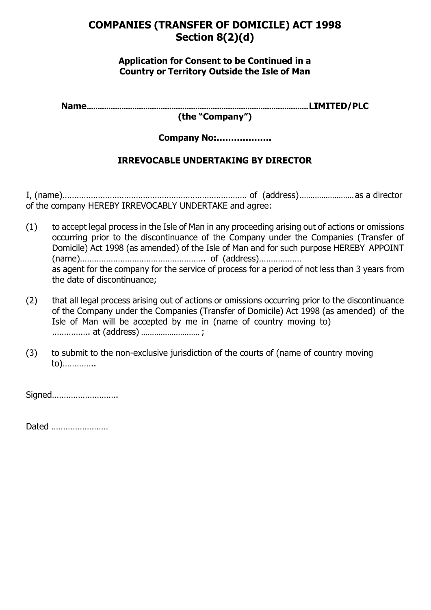## **COMPANIES (TRANSFER OF DOMICILE) ACT 1998 Section 8(2)(d)**

#### **Application for Consent to be Continued in a Country or Territory Outside the Isle of Man**

**Name......................................................................................................LIMITED/PLC**

**(the "Company")**

**Company No:……………….**

## **IRREVOCABLE UNDERTAKING BY DIRECTOR**

I, (name)…………………………………………………………………… of (address).........................as a director of the company HEREBY IRREVOCABLY UNDERTAKE and agree:

- (1) to accept legal process in the Isle of Man in any proceeding arising out of actions or omissions occurring prior to the discontinuance of the Company under the Companies (Transfer of Domicile) Act 1998 (as amended) of the Isle of Man and for such purpose HEREBY APPOINT (name)…………………………………………….. of (address)……………… as agent for the company for the service of process for a period of not less than 3 years from the date of discontinuance;
- (2) that all legal process arising out of actions or omissions occurring prior to the discontinuance of the Company under the Companies (Transfer of Domicile) Act 1998 (as amended) of the Isle of Man will be accepted by me in (name of country moving to) ……………. at (address) ........................... ;
- (3) to submit to the non-exclusive jurisdiction of the courts of (name of country moving to)…………..

Signed……………………….

Dated ……………………